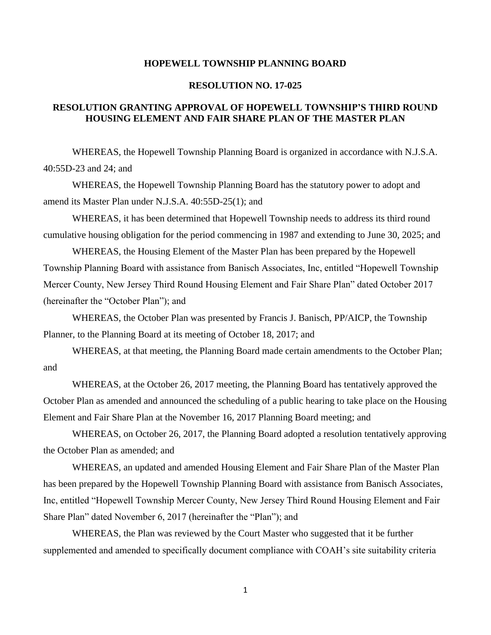## **HOPEWELL TOWNSHIP PLANNING BOARD**

## **RESOLUTION NO. 17-025**

## **RESOLUTION GRANTING APPROVAL OF HOPEWELL TOWNSHIP'S THIRD ROUND HOUSING ELEMENT AND FAIR SHARE PLAN OF THE MASTER PLAN**

WHEREAS, the Hopewell Township Planning Board is organized in accordance with N.J.S.A. 40:55D-23 and 24; and

WHEREAS, the Hopewell Township Planning Board has the statutory power to adopt and amend its Master Plan under N.J.S.A. 40:55D-25(1); and

WHEREAS, it has been determined that Hopewell Township needs to address its third round cumulative housing obligation for the period commencing in 1987 and extending to June 30, 2025; and

WHEREAS, the Housing Element of the Master Plan has been prepared by the Hopewell Township Planning Board with assistance from Banisch Associates, Inc, entitled "Hopewell Township Mercer County, New Jersey Third Round Housing Element and Fair Share Plan" dated October 2017 (hereinafter the "October Plan"); and

WHEREAS, the October Plan was presented by Francis J. Banisch, PP/AICP, the Township Planner, to the Planning Board at its meeting of October 18, 2017; and

WHEREAS, at that meeting, the Planning Board made certain amendments to the October Plan; and

WHEREAS, at the October 26, 2017 meeting, the Planning Board has tentatively approved the October Plan as amended and announced the scheduling of a public hearing to take place on the Housing Element and Fair Share Plan at the November 16, 2017 Planning Board meeting; and

WHEREAS, on October 26, 2017, the Planning Board adopted a resolution tentatively approving the October Plan as amended; and

WHEREAS, an updated and amended Housing Element and Fair Share Plan of the Master Plan has been prepared by the Hopewell Township Planning Board with assistance from Banisch Associates, Inc, entitled "Hopewell Township Mercer County, New Jersey Third Round Housing Element and Fair Share Plan" dated November 6, 2017 (hereinafter the "Plan"); and

WHEREAS, the Plan was reviewed by the Court Master who suggested that it be further supplemented and amended to specifically document compliance with COAH's site suitability criteria

1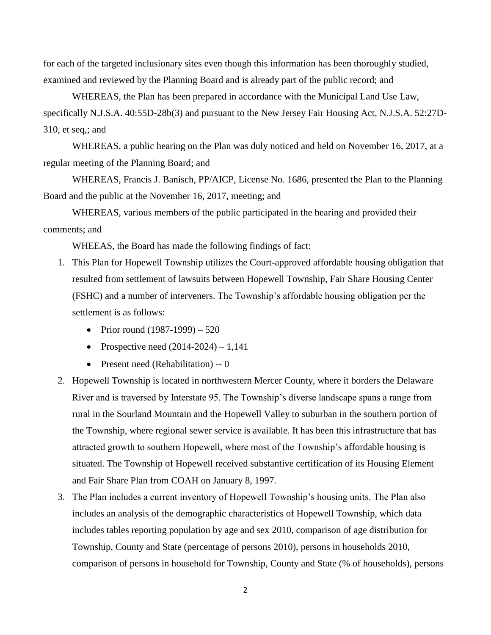for each of the targeted inclusionary sites even though this information has been thoroughly studied, examined and reviewed by the Planning Board and is already part of the public record; and

WHEREAS, the Plan has been prepared in accordance with the Municipal Land Use Law, specifically N.J.S.A. 40:55D-28b(3) and pursuant to the New Jersey Fair Housing Act, N.J.S.A. 52:27D-310, et seq,; and

WHEREAS, a public hearing on the Plan was duly noticed and held on November 16, 2017, at a regular meeting of the Planning Board; and

WHEREAS, Francis J. Banisch, PP/AICP, License No. 1686, presented the Plan to the Planning Board and the public at the November 16, 2017, meeting; and

WHEREAS, various members of the public participated in the hearing and provided their comments; and

WHEEAS, the Board has made the following findings of fact:

- 1. This Plan for Hopewell Township utilizes the Court-approved affordable housing obligation that resulted from settlement of lawsuits between Hopewell Township, Fair Share Housing Center (FSHC) and a number of interveners. The Township's affordable housing obligation per the settlement is as follows:
	- Prior round  $(1987-1999) 520$
	- Prospective need  $(2014-2024) 1,141$
	- Present need (Rehabilitation) -- 0
- 2. Hopewell Township is located in northwestern Mercer County, where it borders the Delaware River and is traversed by Interstate 95. The Township's diverse landscape spans a range from rural in the Sourland Mountain and the Hopewell Valley to suburban in the southern portion of the Township, where regional sewer service is available. It has been this infrastructure that has attracted growth to southern Hopewell, where most of the Township's affordable housing is situated. The Township of Hopewell received substantive certification of its Housing Element and Fair Share Plan from COAH on January 8, 1997.
- 3. The Plan includes a current inventory of Hopewell Township's housing units. The Plan also includes an analysis of the demographic characteristics of Hopewell Township, which data includes tables reporting population by age and sex 2010, comparison of age distribution for Township, County and State (percentage of persons 2010), persons in households 2010, comparison of persons in household for Township, County and State (% of households), persons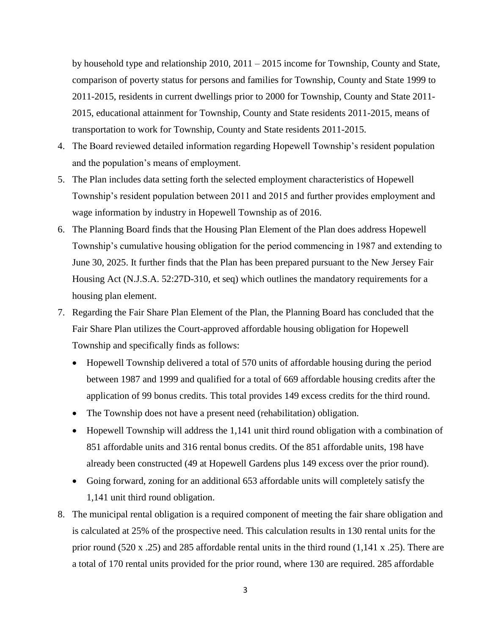by household type and relationship 2010, 2011 – 2015 income for Township, County and State, comparison of poverty status for persons and families for Township, County and State 1999 to 2011-2015, residents in current dwellings prior to 2000 for Township, County and State 2011- 2015, educational attainment for Township, County and State residents 2011-2015, means of transportation to work for Township, County and State residents 2011-2015.

- 4. The Board reviewed detailed information regarding Hopewell Township's resident population and the population's means of employment.
- 5. The Plan includes data setting forth the selected employment characteristics of Hopewell Township's resident population between 2011 and 2015 and further provides employment and wage information by industry in Hopewell Township as of 2016.
- 6. The Planning Board finds that the Housing Plan Element of the Plan does address Hopewell Township's cumulative housing obligation for the period commencing in 1987 and extending to June 30, 2025. It further finds that the Plan has been prepared pursuant to the New Jersey Fair Housing Act (N.J.S.A. 52:27D-310, et seq) which outlines the mandatory requirements for a housing plan element.
- 7. Regarding the Fair Share Plan Element of the Plan, the Planning Board has concluded that the Fair Share Plan utilizes the Court-approved affordable housing obligation for Hopewell Township and specifically finds as follows:
	- Hopewell Township delivered a total of 570 units of affordable housing during the period between 1987 and 1999 and qualified for a total of 669 affordable housing credits after the application of 99 bonus credits. This total provides 149 excess credits for the third round.
	- The Township does not have a present need (rehabilitation) obligation.
	- Hopewell Township will address the 1,141 unit third round obligation with a combination of 851 affordable units and 316 rental bonus credits. Of the 851 affordable units, 198 have already been constructed (49 at Hopewell Gardens plus 149 excess over the prior round).
	- Going forward, zoning for an additional 653 affordable units will completely satisfy the 1,141 unit third round obligation.
- 8. The municipal rental obligation is a required component of meeting the fair share obligation and is calculated at 25% of the prospective need. This calculation results in 130 rental units for the prior round (520 x .25) and 285 affordable rental units in the third round (1,141 x .25). There are a total of 170 rental units provided for the prior round, where 130 are required. 285 affordable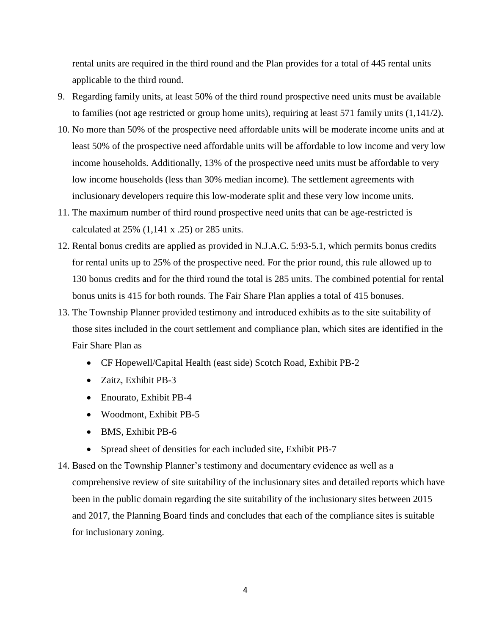rental units are required in the third round and the Plan provides for a total of 445 rental units applicable to the third round.

- 9. Regarding family units, at least 50% of the third round prospective need units must be available to families (not age restricted or group home units), requiring at least 571 family units (1,141/2).
- 10. No more than 50% of the prospective need affordable units will be moderate income units and at least 50% of the prospective need affordable units will be affordable to low income and very low income households. Additionally, 13% of the prospective need units must be affordable to very low income households (less than 30% median income). The settlement agreements with inclusionary developers require this low-moderate split and these very low income units.
- 11. The maximum number of third round prospective need units that can be age-restricted is calculated at 25% (1,141 x .25) or 285 units.
- 12. Rental bonus credits are applied as provided in N.J.A.C. 5:93-5.1, which permits bonus credits for rental units up to 25% of the prospective need. For the prior round, this rule allowed up to 130 bonus credits and for the third round the total is 285 units. The combined potential for rental bonus units is 415 for both rounds. The Fair Share Plan applies a total of 415 bonuses.
- 13. The Township Planner provided testimony and introduced exhibits as to the site suitability of those sites included in the court settlement and compliance plan, which sites are identified in the Fair Share Plan as
	- CF Hopewell/Capital Health (east side) Scotch Road, Exhibit PB-2
	- Zaitz, Exhibit PB-3
	- Enourato, Exhibit PB-4
	- Woodmont, Exhibit PB-5
	- BMS, Exhibit PB-6
	- Spread sheet of densities for each included site, Exhibit PB-7
- 14. Based on the Township Planner's testimony and documentary evidence as well as a comprehensive review of site suitability of the inclusionary sites and detailed reports which have been in the public domain regarding the site suitability of the inclusionary sites between 2015 and 2017, the Planning Board finds and concludes that each of the compliance sites is suitable for inclusionary zoning.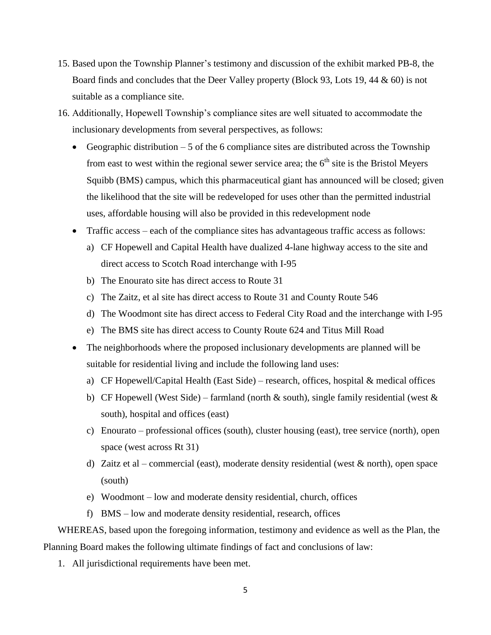- 15. Based upon the Township Planner's testimony and discussion of the exhibit marked PB-8, the Board finds and concludes that the Deer Valley property (Block 93, Lots 19, 44 & 60) is not suitable as a compliance site.
- 16. Additionally, Hopewell Township's compliance sites are well situated to accommodate the inclusionary developments from several perspectives, as follows:
	- Geographic distribution  $-5$  of the 6 compliance sites are distributed across the Township from east to west within the regional sewer service area; the  $6<sup>th</sup>$  site is the Bristol Meyers Squibb (BMS) campus, which this pharmaceutical giant has announced will be closed; given the likelihood that the site will be redeveloped for uses other than the permitted industrial uses, affordable housing will also be provided in this redevelopment node
	- Traffic access each of the compliance sites has advantageous traffic access as follows:
		- a) CF Hopewell and Capital Health have dualized 4-lane highway access to the site and direct access to Scotch Road interchange with I-95
		- b) The Enourato site has direct access to Route 31
		- c) The Zaitz, et al site has direct access to Route 31 and County Route 546
		- d) The Woodmont site has direct access to Federal City Road and the interchange with I-95
		- e) The BMS site has direct access to County Route 624 and Titus Mill Road
	- The neighborhoods where the proposed inclusionary developments are planned will be suitable for residential living and include the following land uses:
		- a) CF Hopewell/Capital Health (East Side) research, offices, hospital & medical offices
		- b) CF Hopewell (West Side) farmland (north  $\&$  south), single family residential (west  $\&$ south), hospital and offices (east)
		- c) Enourato professional offices (south), cluster housing (east), tree service (north), open space (west across Rt 31)
		- d) Zaitz et al commercial (east), moderate density residential (west & north), open space (south)
		- e) Woodmont low and moderate density residential, church, offices
		- f) BMS low and moderate density residential, research, offices

WHEREAS, based upon the foregoing information, testimony and evidence as well as the Plan, the Planning Board makes the following ultimate findings of fact and conclusions of law:

1. All jurisdictional requirements have been met.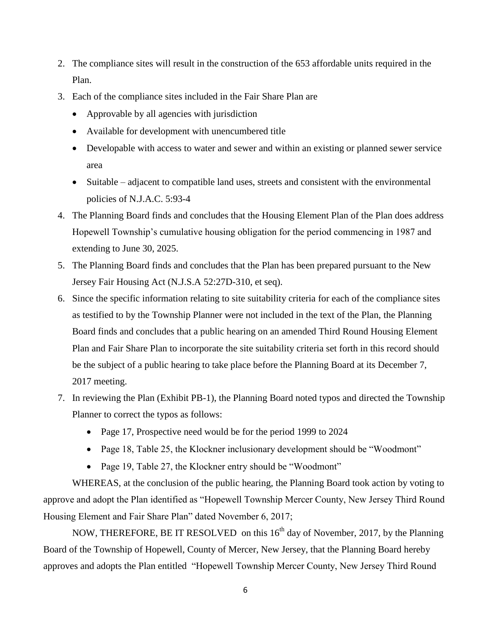- 2. The compliance sites will result in the construction of the 653 affordable units required in the Plan.
- 3. Each of the compliance sites included in the Fair Share Plan are
	- Approvable by all agencies with jurisdiction
	- Available for development with unencumbered title
	- Developable with access to water and sewer and within an existing or planned sewer service area
	- Suitable adjacent to compatible land uses, streets and consistent with the environmental policies of N.J.A.C. 5:93-4
- 4. The Planning Board finds and concludes that the Housing Element Plan of the Plan does address Hopewell Township's cumulative housing obligation for the period commencing in 1987 and extending to June 30, 2025.
- 5. The Planning Board finds and concludes that the Plan has been prepared pursuant to the New Jersey Fair Housing Act (N.J.S.A 52:27D-310, et seq).
- 6. Since the specific information relating to site suitability criteria for each of the compliance sites as testified to by the Township Planner were not included in the text of the Plan, the Planning Board finds and concludes that a public hearing on an amended Third Round Housing Element Plan and Fair Share Plan to incorporate the site suitability criteria set forth in this record should be the subject of a public hearing to take place before the Planning Board at its December 7, 2017 meeting.
- 7. In reviewing the Plan (Exhibit PB-1), the Planning Board noted typos and directed the Township Planner to correct the typos as follows:
	- Page 17, Prospective need would be for the period 1999 to 2024
	- Page 18, Table 25, the Klockner inclusionary development should be "Woodmont"
	- Page 19, Table 27, the Klockner entry should be "Woodmont"

WHEREAS, at the conclusion of the public hearing, the Planning Board took action by voting to approve and adopt the Plan identified as "Hopewell Township Mercer County, New Jersey Third Round Housing Element and Fair Share Plan" dated November 6, 2017;

NOW, THEREFORE, BE IT RESOLVED on this  $16<sup>th</sup>$  day of November, 2017, by the Planning Board of the Township of Hopewell, County of Mercer, New Jersey, that the Planning Board hereby approves and adopts the Plan entitled "Hopewell Township Mercer County, New Jersey Third Round